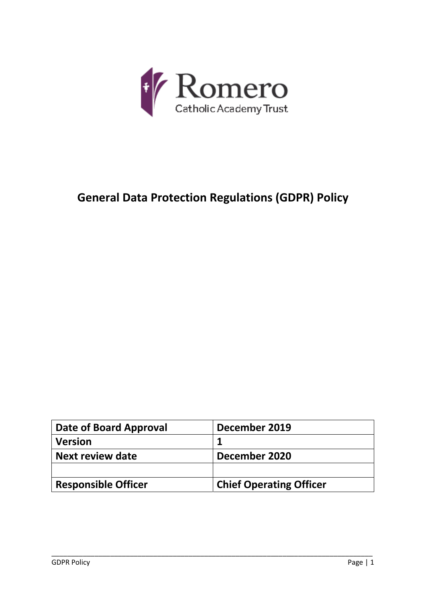

# **General Data Protection Regulations (GDPR) Policy**

| Date of Board Approval     | December 2019                  |
|----------------------------|--------------------------------|
| <b>Version</b>             |                                |
| Next review date           | December 2020                  |
|                            |                                |
| <b>Responsible Officer</b> | <b>Chief Operating Officer</b> |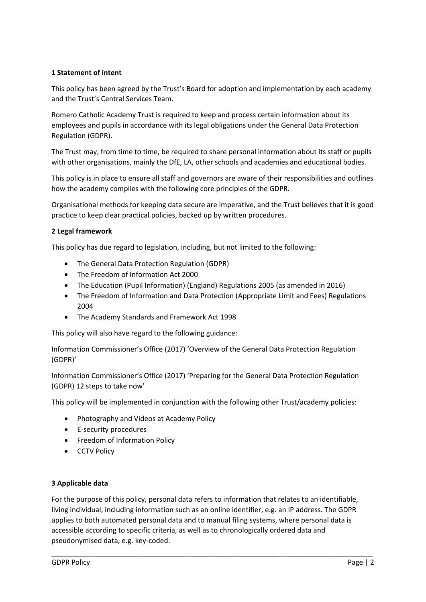# **1 Statement of intent**

This policy has been agreed by the Trust's Board for adoption and implementation by each academy and the Trust's Central Services Team.

Romero Catholic Academy Trust is required to keep and process certain information about its employees and pupils in accordance with its legal obligations under the General Data Protection Regulation (GDPR).

The Trust may, from time to time, be required to share personal information about its staff or pupils with other organisations, mainly the DfE, LA, other schools and academies and educational bodies.

This policy is in place to ensure all staff and governors are aware of their responsibilities and outlines how the academy complies with the following core principles of the GDPR.

Organisational methods for keeping data secure are imperative, and the Trust believes that it is good practice to keep clear practical policies, backed up by written procedures.

#### **2 Legal framework**

This policy has due regard to legislation, including, but not limited to the following:

- The General Data Protection Regulation (GDPR)
- The Freedom of Information Act 2000
- The Education (Pupil Information) (England) Regulations 2005 (as amended in 2016)
- The Freedom of Information and Data Protection (Appropriate Limit and Fees) Regulations 2004
- The Academy Standards and Framework Act 1998

This policy will also have regard to the following guidance:

Information Commissioner's Office (2017) 'Overview of the General Data Protection Regulation (GDPR)'

Information Commissioner's Office (2017) 'Preparing for the General Data Protection Regulation (GDPR) 12 steps to take now'

This policy will be implemented in conjunction with the following other Trust/academy policies:

- Photography and Videos at Academy Policy
- E-security procedures
- Freedom of Information Policy
- CCTV Policy

#### **3 Applicable data**

For the purpose of this policy, personal data refers to information that relates to an identifiable, living individual, including information such as an online identifier, e.g. an IP address. The GDPR applies to both automated personal data and to manual filing systems, where personal data is accessible according to specific criteria, as well as to chronologically ordered data and pseudonymised data, e.g. key‐coded.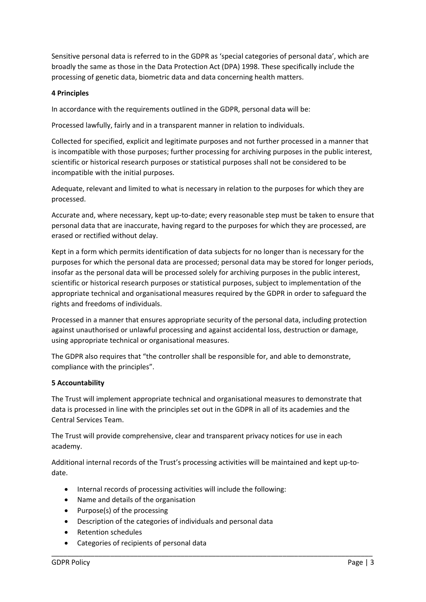Sensitive personal data is referred to in the GDPR as 'special categories of personal data', which are broadly the same as those in the Data Protection Act (DPA) 1998. These specifically include the processing of genetic data, biometric data and data concerning health matters.

## **4 Principles**

In accordance with the requirements outlined in the GDPR, personal data will be:

Processed lawfully, fairly and in a transparent manner in relation to individuals.

Collected for specified, explicit and legitimate purposes and not further processed in a manner that is incompatible with those purposes; further processing for archiving purposes in the public interest, scientific or historical research purposes or statistical purposes shall not be considered to be incompatible with the initial purposes.

Adequate, relevant and limited to what is necessary in relation to the purposes for which they are processed.

Accurate and, where necessary, kept up-to-date; every reasonable step must be taken to ensure that personal data that are inaccurate, having regard to the purposes for which they are processed, are erased or rectified without delay.

Kept in a form which permits identification of data subjects for no longer than is necessary for the purposes for which the personal data are processed; personal data may be stored for longer periods, insofar as the personal data will be processed solely for archiving purposes in the public interest, scientific or historical research purposes or statistical purposes, subject to implementation of the appropriate technical and organisational measures required by the GDPR in order to safeguard the rights and freedoms of individuals.

Processed in a manner that ensures appropriate security of the personal data, including protection against unauthorised or unlawful processing and against accidental loss, destruction or damage, using appropriate technical or organisational measures.

The GDPR also requires that "the controller shall be responsible for, and able to demonstrate, compliance with the principles".

# **5 Accountability**

The Trust will implement appropriate technical and organisational measures to demonstrate that data is processed in line with the principles set out in the GDPR in all of its academies and the Central Services Team.

The Trust will provide comprehensive, clear and transparent privacy notices for use in each academy.

Additional internal records of the Trust's processing activities will be maintained and kept up-todate.

- Internal records of processing activities will include the following:
- Name and details of the organisation
- Purpose(s) of the processing
- Description of the categories of individuals and personal data
- Retention schedules
- Categories of recipients of personal data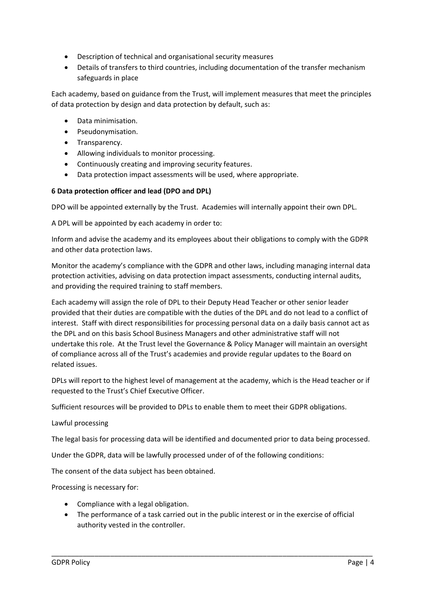- Description of technical and organisational security measures
- Details of transfers to third countries, including documentation of the transfer mechanism safeguards in place

Each academy, based on guidance from the Trust, will implement measures that meet the principles of data protection by design and data protection by default, such as:

- Data minimisation.
- Pseudonymisation.
- Transparency.
- Allowing individuals to monitor processing.
- Continuously creating and improving security features.
- Data protection impact assessments will be used, where appropriate.

## **6 Data protection officer and lead (DPO and DPL)**

DPO will be appointed externally by the Trust. Academies will internally appoint their own DPL.

A DPL will be appointed by each academy in order to:

Inform and advise the academy and its employees about their obligations to comply with the GDPR and other data protection laws.

Monitor the academy's compliance with the GDPR and other laws, including managing internal data protection activities, advising on data protection impact assessments, conducting internal audits, and providing the required training to staff members.

Each academy will assign the role of DPL to their Deputy Head Teacher or other senior leader provided that their duties are compatible with the duties of the DPL and do not lead to a conflict of interest. Staff with direct responsibilities for processing personal data on a daily basis cannot act as the DPL and on this basis School Business Managers and other administrative staff will not undertake this role. At the Trust level the Governance & Policy Manager will maintain an oversight of compliance across all of the Trust's academies and provide regular updates to the Board on related issues.

DPLs will report to the highest level of management at the academy, which is the Head teacher or if requested to the Trust's Chief Executive Officer.

Sufficient resources will be provided to DPLs to enable them to meet their GDPR obligations.

#### Lawful processing

The legal basis for processing data will be identified and documented prior to data being processed.

Under the GDPR, data will be lawfully processed under of of the following conditions:

The consent of the data subject has been obtained.

Processing is necessary for:

- Compliance with a legal obligation.
- The performance of a task carried out in the public interest or in the exercise of official authority vested in the controller.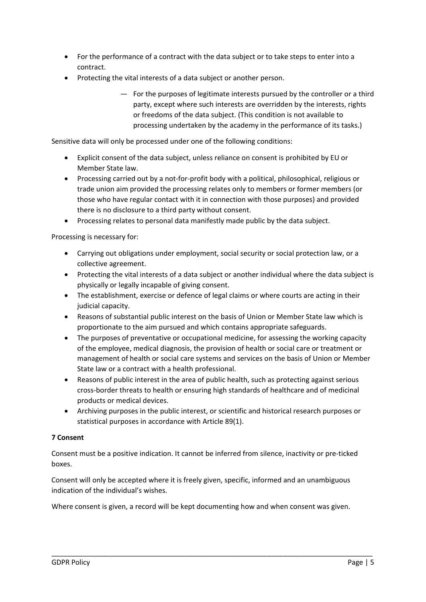- For the performance of a contract with the data subject or to take steps to enter into a contract.
- Protecting the vital interests of a data subject or another person.
	- For the purposes of legitimate interests pursued by the controller or a third party, except where such interests are overridden by the interests, rights or freedoms of the data subject. (This condition is not available to processing undertaken by the academy in the performance of its tasks.)

Sensitive data will only be processed under one of the following conditions:

- Explicit consent of the data subject, unless reliance on consent is prohibited by EU or Member State law.
- Processing carried out by a not-for-profit body with a political, philosophical, religious or trade union aim provided the processing relates only to members or former members (or those who have regular contact with it in connection with those purposes) and provided there is no disclosure to a third party without consent.
- Processing relates to personal data manifestly made public by the data subject.

Processing is necessary for:

- Carrying out obligations under employment, social security or social protection law, or a collective agreement.
- Protecting the vital interests of a data subject or another individual where the data subject is physically or legally incapable of giving consent.
- The establishment, exercise or defence of legal claims or where courts are acting in their judicial capacity.
- Reasons of substantial public interest on the basis of Union or Member State law which is proportionate to the aim pursued and which contains appropriate safeguards.
- The purposes of preventative or occupational medicine, for assessing the working capacity of the employee, medical diagnosis, the provision of health or social care or treatment or management of health or social care systems and services on the basis of Union or Member State law or a contract with a health professional.
- Reasons of public interest in the area of public health, such as protecting against serious cross‐border threats to health or ensuring high standards of healthcare and of medicinal products or medical devices.
- Archiving purposes in the public interest, or scientific and historical research purposes or statistical purposes in accordance with Article 89(1).

## **7 Consent**

Consent must be a positive indication. It cannot be inferred from silence, inactivity or pre‐ticked boxes.

Consent will only be accepted where it is freely given, specific, informed and an unambiguous indication of the individual's wishes.

Where consent is given, a record will be kept documenting how and when consent was given.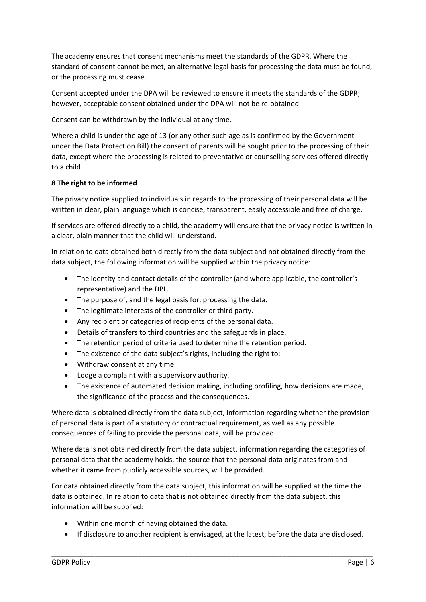The academy ensures that consent mechanisms meet the standards of the GDPR. Where the standard of consent cannot be met, an alternative legal basis for processing the data must be found, or the processing must cease.

Consent accepted under the DPA will be reviewed to ensure it meets the standards of the GDPR; however, acceptable consent obtained under the DPA will not be re-obtained.

Consent can be withdrawn by the individual at any time.

Where a child is under the age of 13 (or any other such age as is confirmed by the Government under the Data Protection Bill) the consent of parents will be sought prior to the processing of their data, except where the processing is related to preventative or counselling services offered directly to a child.

# **8 The right to be informed**

The privacy notice supplied to individuals in regards to the processing of their personal data will be written in clear, plain language which is concise, transparent, easily accessible and free of charge.

If services are offered directly to a child, the academy will ensure that the privacy notice is written in a clear, plain manner that the child will understand.

In relation to data obtained both directly from the data subject and not obtained directly from the data subject, the following information will be supplied within the privacy notice:

- The identity and contact details of the controller (and where applicable, the controller's representative) and the DPL.
- The purpose of, and the legal basis for, processing the data.
- The legitimate interests of the controller or third party.
- Any recipient or categories of recipients of the personal data.
- Details of transfers to third countries and the safeguards in place.
- The retention period of criteria used to determine the retention period.
- The existence of the data subject's rights, including the right to:
- Withdraw consent at any time.
- Lodge a complaint with a supervisory authority.
- The existence of automated decision making, including profiling, how decisions are made, the significance of the process and the consequences.

Where data is obtained directly from the data subject, information regarding whether the provision of personal data is part of a statutory or contractual requirement, as well as any possible consequences of failing to provide the personal data, will be provided.

Where data is not obtained directly from the data subject, information regarding the categories of personal data that the academy holds, the source that the personal data originates from and whether it came from publicly accessible sources, will be provided.

For data obtained directly from the data subject, this information will be supplied at the time the data is obtained. In relation to data that is not obtained directly from the data subject, this information will be supplied:

- Within one month of having obtained the data.
- If disclosure to another recipient is envisaged, at the latest, before the data are disclosed.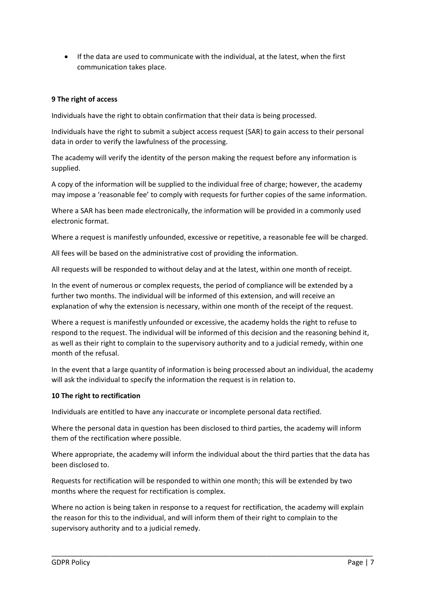If the data are used to communicate with the individual, at the latest, when the first communication takes place.

## **9 The right of access**

Individuals have the right to obtain confirmation that their data is being processed.

Individuals have the right to submit a subject access request (SAR) to gain access to their personal data in order to verify the lawfulness of the processing.

The academy will verify the identity of the person making the request before any information is supplied.

A copy of the information will be supplied to the individual free of charge; however, the academy may impose a 'reasonable fee' to comply with requests for further copies of the same information.

Where a SAR has been made electronically, the information will be provided in a commonly used electronic format.

Where a request is manifestly unfounded, excessive or repetitive, a reasonable fee will be charged.

All fees will be based on the administrative cost of providing the information.

All requests will be responded to without delay and at the latest, within one month of receipt.

In the event of numerous or complex requests, the period of compliance will be extended by a further two months. The individual will be informed of this extension, and will receive an explanation of why the extension is necessary, within one month of the receipt of the request.

Where a request is manifestly unfounded or excessive, the academy holds the right to refuse to respond to the request. The individual will be informed of this decision and the reasoning behind it, as well as their right to complain to the supervisory authority and to a judicial remedy, within one month of the refusal.

In the event that a large quantity of information is being processed about an individual, the academy will ask the individual to specify the information the request is in relation to.

## **10 The right to rectification**

Individuals are entitled to have any inaccurate or incomplete personal data rectified.

Where the personal data in question has been disclosed to third parties, the academy will inform them of the rectification where possible.

Where appropriate, the academy will inform the individual about the third parties that the data has been disclosed to.

Requests for rectification will be responded to within one month; this will be extended by two months where the request for rectification is complex.

Where no action is being taken in response to a request for rectification, the academy will explain the reason for this to the individual, and will inform them of their right to complain to the supervisory authority and to a judicial remedy.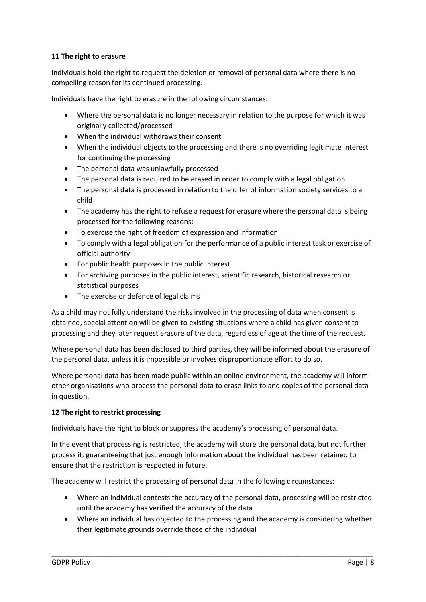## **11 The right to erasure**

Individuals hold the right to request the deletion or removal of personal data where there is no compelling reason for its continued processing.

Individuals have the right to erasure in the following circumstances:

- Where the personal data is no longer necessary in relation to the purpose for which it was originally collected/processed
- When the individual withdraws their consent
- When the individual objects to the processing and there is no overriding legitimate interest for continuing the processing
- The personal data was unlawfully processed
- The personal data is required to be erased in order to comply with a legal obligation
- The personal data is processed in relation to the offer of information society services to a child
- The academy has the right to refuse a request for erasure where the personal data is being processed for the following reasons:
- To exercise the right of freedom of expression and information
- To comply with a legal obligation for the performance of a public interest task or exercise of official authority
- For public health purposes in the public interest
- For archiving purposes in the public interest, scientific research, historical research or statistical purposes
- The exercise or defence of legal claims

As a child may not fully understand the risks involved in the processing of data when consent is obtained, special attention will be given to existing situations where a child has given consent to processing and they later request erasure of the data, regardless of age at the time of the request.

Where personal data has been disclosed to third parties, they will be informed about the erasure of the personal data, unless it is impossible or involves disproportionate effort to do so.

Where personal data has been made public within an online environment, the academy will inform other organisations who process the personal data to erase links to and copies of the personal data in question.

## **12 The right to restrict processing**

Individuals have the right to block or suppress the academy's processing of personal data.

In the event that processing is restricted, the academy will store the personal data, but not further process it, guaranteeing that just enough information about the individual has been retained to ensure that the restriction is respected in future.

The academy will restrict the processing of personal data in the following circumstances:

- Where an individual contests the accuracy of the personal data, processing will be restricted until the academy has verified the accuracy of the data
- Where an individual has objected to the processing and the academy is considering whether their legitimate grounds override those of the individual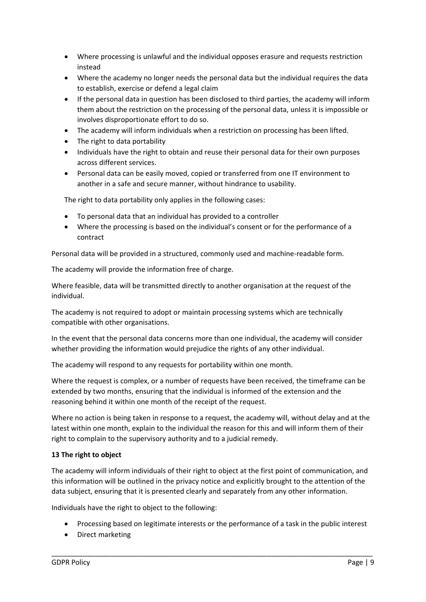- Where processing is unlawful and the individual opposes erasure and requests restriction instead
- Where the academy no longer needs the personal data but the individual requires the data to establish, exercise or defend a legal claim
- If the personal data in question has been disclosed to third parties, the academy will inform them about the restriction on the processing of the personal data, unless it is impossible or involves disproportionate effort to do so.
- The academy will inform individuals when a restriction on processing has been lifted.
- The right to data portability
- Individuals have the right to obtain and reuse their personal data for their own purposes across different services.
- Personal data can be easily moved, copied or transferred from one IT environment to another in a safe and secure manner, without hindrance to usability.

The right to data portability only applies in the following cases:

- To personal data that an individual has provided to a controller
- Where the processing is based on the individual's consent or for the performance of a contract

Personal data will be provided in a structured, commonly used and machine-readable form.

The academy will provide the information free of charge.

Where feasible, data will be transmitted directly to another organisation at the request of the individual.

The academy is not required to adopt or maintain processing systems which are technically compatible with other organisations.

In the event that the personal data concerns more than one individual, the academy will consider whether providing the information would prejudice the rights of any other individual.

The academy will respond to any requests for portability within one month.

Where the request is complex, or a number of requests have been received, the timeframe can be extended by two months, ensuring that the individual is informed of the extension and the reasoning behind it within one month of the receipt of the request.

Where no action is being taken in response to a request, the academy will, without delay and at the latest within one month, explain to the individual the reason for this and will inform them of their right to complain to the supervisory authority and to a judicial remedy.

## **13 The right to object**

The academy will inform individuals of their right to object at the first point of communication, and this information will be outlined in the privacy notice and explicitly brought to the attention of the data subject, ensuring that it is presented clearly and separately from any other information.

Individuals have the right to object to the following:

Processing based on legitimate interests or the performance of a task in the public interest

\_\_\_\_\_\_\_\_\_\_\_\_\_\_\_\_\_\_\_\_\_\_\_\_\_\_\_\_\_\_\_\_\_\_\_\_\_\_\_\_\_\_\_\_\_\_\_\_\_\_\_\_\_\_\_\_\_\_\_\_\_\_\_\_\_\_\_\_\_\_\_\_\_\_\_\_\_\_\_\_\_\_

• Direct marketing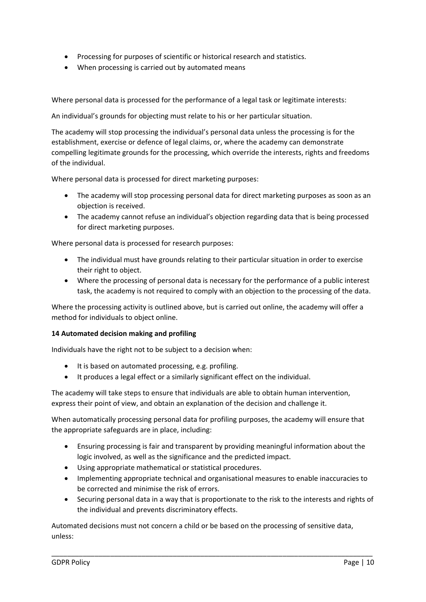- Processing for purposes of scientific or historical research and statistics.
- When processing is carried out by automated means

Where personal data is processed for the performance of a legal task or legitimate interests:

An individual's grounds for objecting must relate to his or her particular situation.

The academy will stop processing the individual's personal data unless the processing is for the establishment, exercise or defence of legal claims, or, where the academy can demonstrate compelling legitimate grounds for the processing, which override the interests, rights and freedoms of the individual.

Where personal data is processed for direct marketing purposes:

- The academy will stop processing personal data for direct marketing purposes as soon as an objection is received.
- The academy cannot refuse an individual's objection regarding data that is being processed for direct marketing purposes.

Where personal data is processed for research purposes:

- The individual must have grounds relating to their particular situation in order to exercise their right to object.
- Where the processing of personal data is necessary for the performance of a public interest task, the academy is not required to comply with an objection to the processing of the data.

Where the processing activity is outlined above, but is carried out online, the academy will offer a method for individuals to object online.

#### **14 Automated decision making and profiling**

Individuals have the right not to be subject to a decision when:

- It is based on automated processing, e.g. profiling.
- It produces a legal effect or a similarly significant effect on the individual.

The academy will take steps to ensure that individuals are able to obtain human intervention, express their point of view, and obtain an explanation of the decision and challenge it.

When automatically processing personal data for profiling purposes, the academy will ensure that the appropriate safeguards are in place, including:

- Ensuring processing is fair and transparent by providing meaningful information about the logic involved, as well as the significance and the predicted impact.
- Using appropriate mathematical or statistical procedures.
- Implementing appropriate technical and organisational measures to enable inaccuracies to be corrected and minimise the risk of errors.
- Securing personal data in a way that is proportionate to the risk to the interests and rights of the individual and prevents discriminatory effects.

Automated decisions must not concern a child or be based on the processing of sensitive data, unless: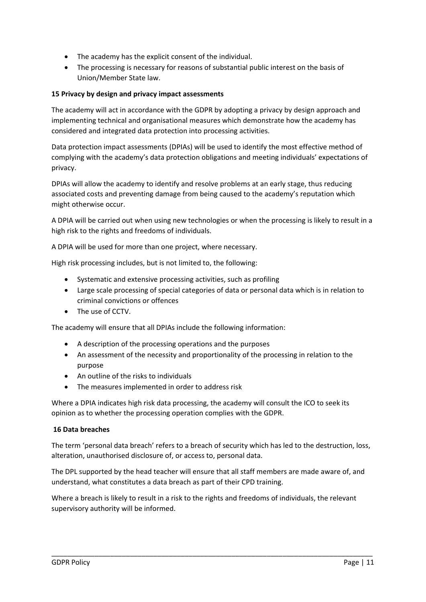- The academy has the explicit consent of the individual.
- The processing is necessary for reasons of substantial public interest on the basis of Union/Member State law.

## **15 Privacy by design and privacy impact assessments**

The academy will act in accordance with the GDPR by adopting a privacy by design approach and implementing technical and organisational measures which demonstrate how the academy has considered and integrated data protection into processing activities.

Data protection impact assessments (DPIAs) will be used to identify the most effective method of complying with the academy's data protection obligations and meeting individuals' expectations of privacy.

DPIAs will allow the academy to identify and resolve problems at an early stage, thus reducing associated costs and preventing damage from being caused to the academy's reputation which might otherwise occur.

A DPIA will be carried out when using new technologies or when the processing is likely to result in a high risk to the rights and freedoms of individuals.

A DPIA will be used for more than one project, where necessary.

High risk processing includes, but is not limited to, the following:

- Systematic and extensive processing activities, such as profiling
- Large scale processing of special categories of data or personal data which is in relation to criminal convictions or offences
- The use of CCTV.

The academy will ensure that all DPIAs include the following information:

- A description of the processing operations and the purposes
- An assessment of the necessity and proportionality of the processing in relation to the purpose
- An outline of the risks to individuals
- The measures implemented in order to address risk

Where a DPIA indicates high risk data processing, the academy will consult the ICO to seek its opinion as to whether the processing operation complies with the GDPR.

#### **16 Data breaches**

The term 'personal data breach' refers to a breach of security which has led to the destruction, loss, alteration, unauthorised disclosure of, or access to, personal data.

The DPL supported by the head teacher will ensure that all staff members are made aware of, and understand, what constitutes a data breach as part of their CPD training.

Where a breach is likely to result in a risk to the rights and freedoms of individuals, the relevant supervisory authority will be informed.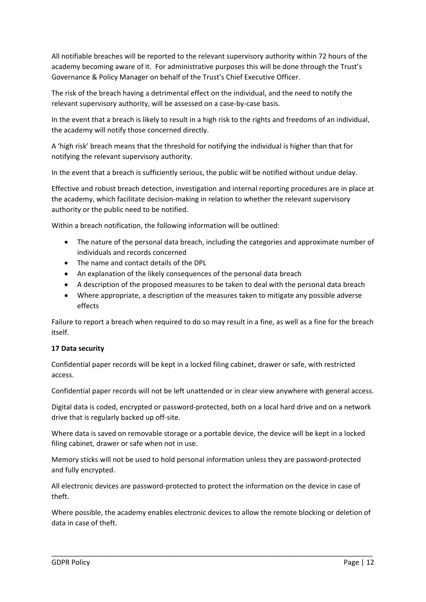All notifiable breaches will be reported to the relevant supervisory authority within 72 hours of the academy becoming aware of it. For administrative purposes this will be done through the Trust's Governance & Policy Manager on behalf of the Trust's Chief Executive Officer.

The risk of the breach having a detrimental effect on the individual, and the need to notify the relevant supervisory authority, will be assessed on a case‐by‐case basis.

In the event that a breach is likely to result in a high risk to the rights and freedoms of an individual, the academy will notify those concerned directly.

A 'high risk' breach means that the threshold for notifying the individual is higher than that for notifying the relevant supervisory authority.

In the event that a breach is sufficiently serious, the public will be notified without undue delay.

Effective and robust breach detection, investigation and internal reporting procedures are in place at the academy, which facilitate decision‐making in relation to whether the relevant supervisory authority or the public need to be notified.

Within a breach notification, the following information will be outlined:

- The nature of the personal data breach, including the categories and approximate number of individuals and records concerned
- The name and contact details of the DPL
- An explanation of the likely consequences of the personal data breach
- A description of the proposed measures to be taken to deal with the personal data breach
- Where appropriate, a description of the measures taken to mitigate any possible adverse effects

Failure to report a breach when required to do so may result in a fine, as well as a fine for the breach itself.

#### **17 Data security**

Confidential paper records will be kept in a locked filing cabinet, drawer or safe, with restricted access.

Confidential paper records will not be left unattended or in clear view anywhere with general access.

Digital data is coded, encrypted or password‐protected, both on a local hard drive and on a network drive that is regularly backed up off‐site.

Where data is saved on removable storage or a portable device, the device will be kept in a locked filing cabinet, drawer or safe when not in use.

Memory sticks will not be used to hold personal information unless they are password‐protected and fully encrypted.

All electronic devices are password‐protected to protect the information on the device in case of theft.

Where possible, the academy enables electronic devices to allow the remote blocking or deletion of data in case of theft.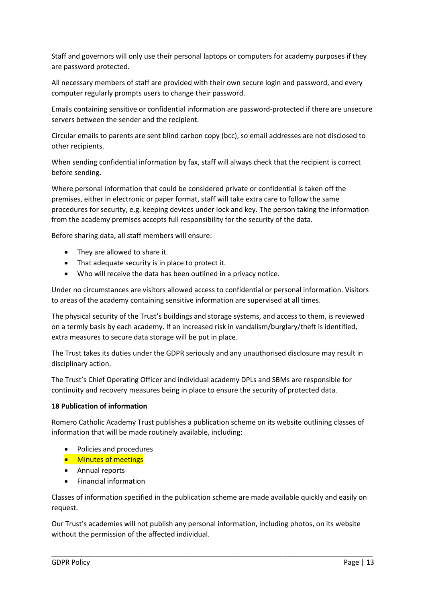Staff and governors will only use their personal laptops or computers for academy purposes if they are password protected.

All necessary members of staff are provided with their own secure login and password, and every computer regularly prompts users to change their password.

Emails containing sensitive or confidential information are password‐protected if there are unsecure servers between the sender and the recipient.

Circular emails to parents are sent blind carbon copy (bcc), so email addresses are not disclosed to other recipients.

When sending confidential information by fax, staff will always check that the recipient is correct before sending.

Where personal information that could be considered private or confidential is taken off the premises, either in electronic or paper format, staff will take extra care to follow the same procedures for security, e.g. keeping devices under lock and key. The person taking the information from the academy premises accepts full responsibility for the security of the data.

Before sharing data, all staff members will ensure:

- They are allowed to share it.
- That adequate security is in place to protect it.
- Who will receive the data has been outlined in a privacy notice.

Under no circumstances are visitors allowed access to confidential or personal information. Visitors to areas of the academy containing sensitive information are supervised at all times.

The physical security of the Trust's buildings and storage systems, and access to them, is reviewed on a termly basis by each academy. If an increased risk in vandalism/burglary/theft is identified, extra measures to secure data storage will be put in place.

The Trust takes its duties under the GDPR seriously and any unauthorised disclosure may result in disciplinary action.

The Trust's Chief Operating Officer and individual academy DPLs and SBMs are responsible for continuity and recovery measures being in place to ensure the security of protected data.

#### **18 Publication of information**

Romero Catholic Academy Trust publishes a publication scheme on its website outlining classes of information that will be made routinely available, including:

- Policies and procedures
- **Minutes of meetings**
- Annual reports
- Financial information

Classes of information specified in the publication scheme are made available quickly and easily on request.

Our Trust's academies will not publish any personal information, including photos, on its website without the permission of the affected individual.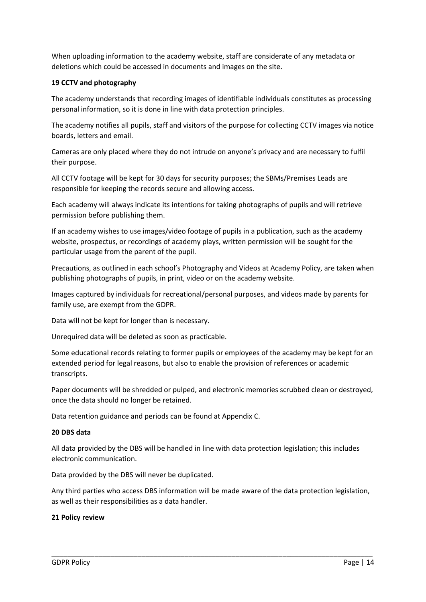When uploading information to the academy website, staff are considerate of any metadata or deletions which could be accessed in documents and images on the site.

#### **19 CCTV and photography**

The academy understands that recording images of identifiable individuals constitutes as processing personal information, so it is done in line with data protection principles.

The academy notifies all pupils, staff and visitors of the purpose for collecting CCTV images via notice boards, letters and email.

Cameras are only placed where they do not intrude on anyone's privacy and are necessary to fulfil their purpose.

All CCTV footage will be kept for 30 days for security purposes; the SBMs/Premises Leads are responsible for keeping the records secure and allowing access.

Each academy will always indicate its intentions for taking photographs of pupils and will retrieve permission before publishing them.

If an academy wishes to use images/video footage of pupils in a publication, such as the academy website, prospectus, or recordings of academy plays, written permission will be sought for the particular usage from the parent of the pupil.

Precautions, as outlined in each school's Photography and Videos at Academy Policy, are taken when publishing photographs of pupils, in print, video or on the academy website.

Images captured by individuals for recreational/personal purposes, and videos made by parents for family use, are exempt from the GDPR.

Data will not be kept for longer than is necessary.

Unrequired data will be deleted as soon as practicable.

Some educational records relating to former pupils or employees of the academy may be kept for an extended period for legal reasons, but also to enable the provision of references or academic transcripts.

Paper documents will be shredded or pulped, and electronic memories scrubbed clean or destroyed, once the data should no longer be retained.

Data retention guidance and periods can be found at Appendix C.

#### **20 DBS data**

All data provided by the DBS will be handled in line with data protection legislation; this includes electronic communication.

Data provided by the DBS will never be duplicated.

Any third parties who access DBS information will be made aware of the data protection legislation, as well as their responsibilities as a data handler.

\_\_\_\_\_\_\_\_\_\_\_\_\_\_\_\_\_\_\_\_\_\_\_\_\_\_\_\_\_\_\_\_\_\_\_\_\_\_\_\_\_\_\_\_\_\_\_\_\_\_\_\_\_\_\_\_\_\_\_\_\_\_\_\_\_\_\_\_\_\_\_\_\_\_\_\_\_\_\_\_\_\_

#### **21 Policy review**